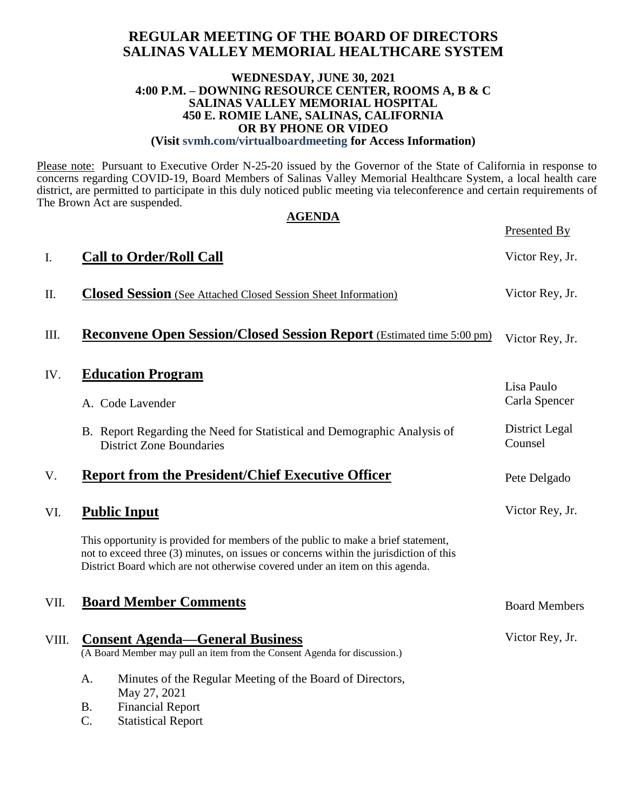## **REGULAR MEETING OF THE BOARD OF DIRECTORS SALINAS VALLEY MEMORIAL HEALTHCARE SYSTEM**

#### **WEDNESDAY, JUNE 30, 2021 4:00 P.M. – DOWNING RESOURCE CENTER, ROOMS A, B & C SALINAS VALLEY MEMORIAL HOSPITAL 450 E. ROMIE LANE, SALINAS, CALIFORNIA OR BY PHONE OR VIDEO (Visit svmh.com/virtualboardmeeting for Access Information)**

Please note: Pursuant to Executive Order N-25-20 issued by the Governor of the State of California in response to concerns regarding COVID-19, Board Members of Salinas Valley Memorial Healthcare System, a local health care district, are permitted to participate in this duly noticed public meeting via teleconference and certain requirements of The Brown Act are suspended.

|       | <b>AGENDA</b>                                                                                                                                                                                                                                               |                             |  |  |  |
|-------|-------------------------------------------------------------------------------------------------------------------------------------------------------------------------------------------------------------------------------------------------------------|-----------------------------|--|--|--|
|       |                                                                                                                                                                                                                                                             | Presented By                |  |  |  |
| I.    | <b>Call to Order/Roll Call</b>                                                                                                                                                                                                                              | Victor Rey, Jr.             |  |  |  |
| П.    | <b>Closed Session</b> (See Attached Closed Session Sheet Information)                                                                                                                                                                                       | Victor Rey, Jr.             |  |  |  |
| Ш.    | <b>Reconvene Open Session/Closed Session Report</b> (Estimated time 5:00 pm)                                                                                                                                                                                | Victor Rey, Jr.             |  |  |  |
| IV.   | <b>Education Program</b><br>A. Code Lavender                                                                                                                                                                                                                | Lisa Paulo<br>Carla Spencer |  |  |  |
|       | B. Report Regarding the Need for Statistical and Demographic Analysis of<br><b>District Zone Boundaries</b>                                                                                                                                                 | District Legal<br>Counsel   |  |  |  |
| V.    | <b>Report from the President/Chief Executive Officer</b>                                                                                                                                                                                                    | Pete Delgado                |  |  |  |
| VI.   | <b>Public Input</b>                                                                                                                                                                                                                                         | Victor Rey, Jr.             |  |  |  |
|       | This opportunity is provided for members of the public to make a brief statement,<br>not to exceed three (3) minutes, on issues or concerns within the jurisdiction of this<br>District Board which are not otherwise covered under an item on this agenda. |                             |  |  |  |
| VII.  | <b>Board Member Comments</b>                                                                                                                                                                                                                                | <b>Board Members</b>        |  |  |  |
| VIII. | <b>Consent Agenda—General Business</b><br>(A Board Member may pull an item from the Consent Agenda for discussion.)                                                                                                                                         | Victor Rey, Jr.             |  |  |  |
|       | A.<br>Minutes of the Regular Meeting of the Board of Directors,<br>May 27, 2021                                                                                                                                                                             |                             |  |  |  |

B. Financial Report<br>C. Statistical Report

**Statistical Report**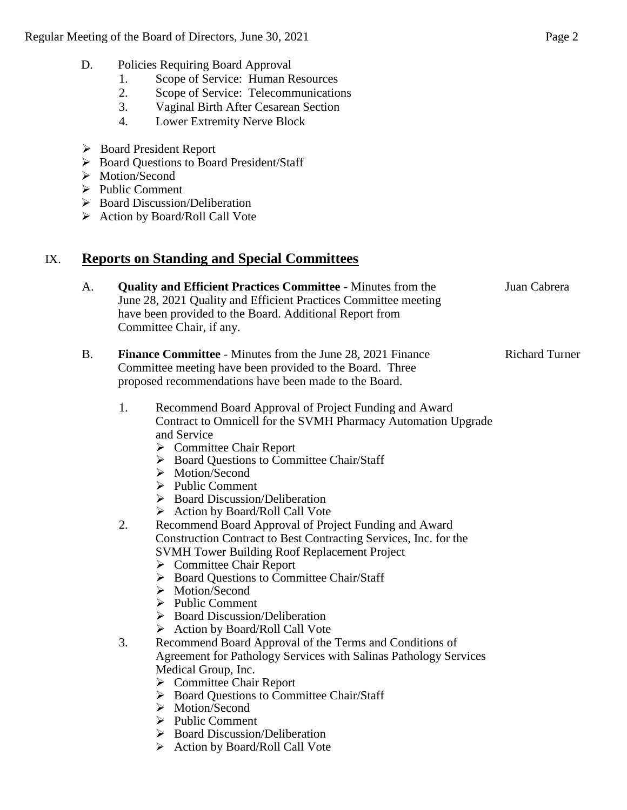- 1. Scope of Service: Human Resources
- 2. Scope of Service: Telecommunications
- 3. Vaginal Birth After Cesarean Section
- 4. Lower Extremity Nerve Block
- Board President Report
- ▶ Board Questions to Board President/Staff
- > Motion/Second
- $\triangleright$  Public Comment
- $\triangleright$  Board Discussion/Deliberation
- $\triangleright$  Action by Board/Roll Call Vote

# IX. **Reports on Standing and Special Committees**

- A. **Quality and Efficient Practices Committee** Minutes from the June 28, 2021 Quality and Efficient Practices Committee meeting have been provided to the Board. Additional Report from Committee Chair, if any. Juan Cabrera
- B. **Finance Committee** Minutes from the June 28, 2021 Finance Committee meeting have been provided to the Board. Three proposed recommendations have been made to the Board. Richard Turner
	- 1. Recommend Board Approval of Project Funding and Award Contract to Omnicell for the SVMH Pharmacy Automation Upgrade and Service
		- **►** Committee Chair Report
		- ▶ Board Questions to Committee Chair/Staff
		- > Motion/Second
		- $\triangleright$  Public Comment
		- $\triangleright$  Board Discussion/Deliberation
		- $\triangleright$  Action by Board/Roll Call Vote
	- 2. Recommend Board Approval of Project Funding and Award Construction Contract to Best Contracting Services, Inc. for the SVMH Tower Building Roof Replacement Project
		- **►** Committee Chair Report
		- $\triangleright$  Board Questions to Committee Chair/Staff
		- > Motion/Second
		- $\triangleright$  Public Comment
		- ▶ Board Discussion/Deliberation
		- $\triangleright$  Action by Board/Roll Call Vote
	- 3. Recommend Board Approval of the Terms and Conditions of Agreement for Pathology Services with Salinas Pathology Services Medical Group, Inc.
		- **►** Committee Chair Report
		- ▶ Board Questions to Committee Chair/Staff
		- > Motion/Second
		- $\triangleright$  Public Comment
		- $\triangleright$  Board Discussion/Deliberation
		- $\triangleright$  Action by Board/Roll Call Vote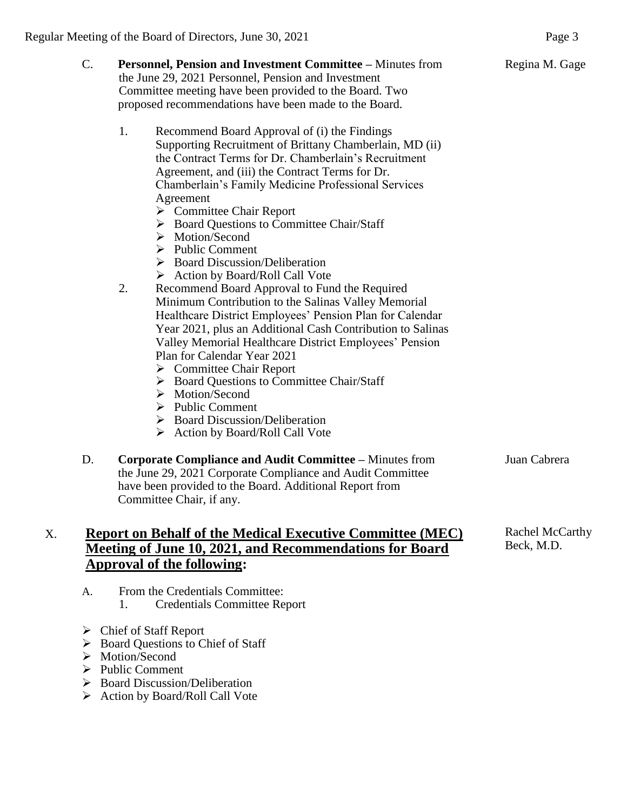| C. | Personnel, Pension and Investment Committee - Minutes from<br>the June 29, 2021 Personnel, Pension and Investment<br>Committee meeting have been provided to the Board. Two<br>proposed recommendations have been made to the Board.                                                                                                                                                                                                                                                                                                                                                                                                                                                                                                                                                                                                                                                                                                                                                                                                                                                                    | Regina M. Gage                |
|----|---------------------------------------------------------------------------------------------------------------------------------------------------------------------------------------------------------------------------------------------------------------------------------------------------------------------------------------------------------------------------------------------------------------------------------------------------------------------------------------------------------------------------------------------------------------------------------------------------------------------------------------------------------------------------------------------------------------------------------------------------------------------------------------------------------------------------------------------------------------------------------------------------------------------------------------------------------------------------------------------------------------------------------------------------------------------------------------------------------|-------------------------------|
|    | 1.<br>Recommend Board Approval of (i) the Findings<br>Supporting Recruitment of Brittany Chamberlain, MD (ii)<br>the Contract Terms for Dr. Chamberlain's Recruitment<br>Agreement, and (iii) the Contract Terms for Dr.<br>Chamberlain's Family Medicine Professional Services<br>Agreement<br>$\triangleright$ Committee Chair Report<br>> Board Questions to Committee Chair/Staff<br>> Motion/Second<br>$\triangleright$ Public Comment<br>$\triangleright$ Board Discussion/Deliberation<br>> Action by Board/Roll Call Vote<br>2.<br>Recommend Board Approval to Fund the Required<br>Minimum Contribution to the Salinas Valley Memorial<br>Healthcare District Employees' Pension Plan for Calendar<br>Year 2021, plus an Additional Cash Contribution to Salinas<br>Valley Memorial Healthcare District Employees' Pension<br>Plan for Calendar Year 2021<br>$\triangleright$ Committee Chair Report<br>> Board Questions to Committee Chair/Staff<br>> Motion/Second<br>$\triangleright$ Public Comment<br>> Board Discussion/Deliberation<br>$\triangleright$ Action by Board/Roll Call Vote |                               |
| D. | <b>Corporate Compliance and Audit Committee - Minutes from</b><br>the June 29, 2021 Corporate Compliance and Audit Committee<br>have been provided to the Board. Additional Report from<br>Committee Chair, if any.                                                                                                                                                                                                                                                                                                                                                                                                                                                                                                                                                                                                                                                                                                                                                                                                                                                                                     | Juan Cabrera                  |
|    | <b>Report on Behalf of the Medical Executive Committee (MEC)</b><br>Meeting of June 10, 2021, and Recommendations for Board                                                                                                                                                                                                                                                                                                                                                                                                                                                                                                                                                                                                                                                                                                                                                                                                                                                                                                                                                                             | Rachel McCarthy<br>Beck, M.D. |

# **Approval of the following:** A. From the Credentials Committee:

- 1. Credentials Committee Report
- Chief of Staff Report
- ▶ Board Questions to Chief of Staff
- $\triangleright$  Motion/Second
- > Public Comment
- > Board Discussion/Deliberation
- Action by Board/Roll Call Vote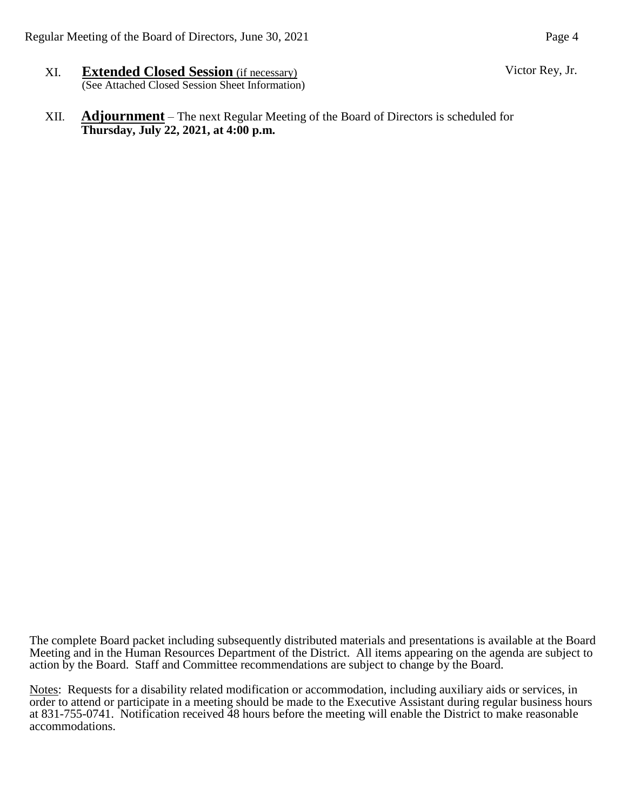- XI. **Extended Closed Session** (if necessary) (See Attached Closed Session Sheet Information)
- XII. **Adjournment** The next Regular Meeting of the Board of Directors is scheduled for **Thursday, July 22, 2021, at 4:00 p.m.**

The complete Board packet including subsequently distributed materials and presentations is available at the Board Meeting and in the Human Resources Department of the District. All items appearing on the agenda are subject to action by the Board. Staff and Committee recommendations are subject to change by the Board.

Notes: Requests for a disability related modification or accommodation, including auxiliary aids or services, in order to attend or participate in a meeting should be made to the Executive Assistant during regular business hours at 831-755-0741. Notification received 48 hours before the meeting will enable the District to make reasonable accommodations.

Victor Rey, Jr.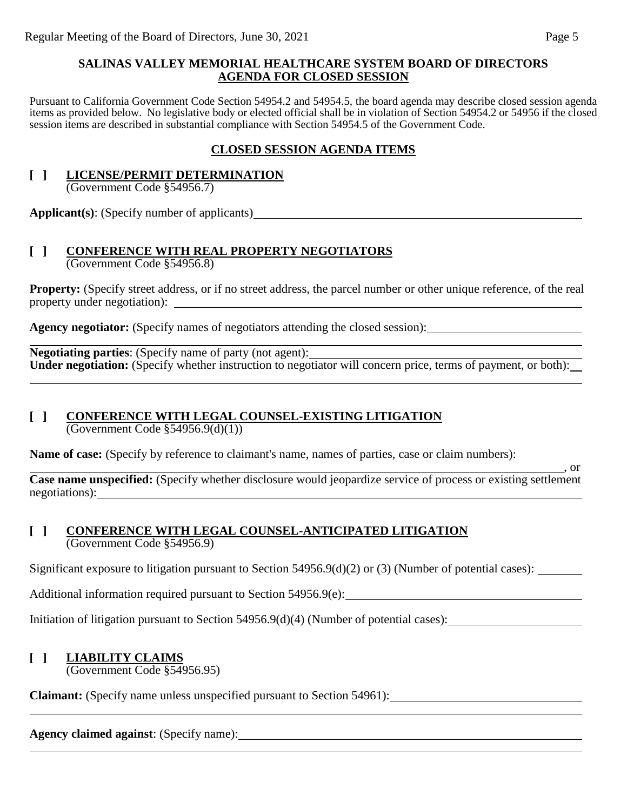### **SALINAS VALLEY MEMORIAL HEALTHCARE SYSTEM BOARD OF DIRECTORS AGENDA FOR CLOSED SESSION**

Pursuant to California Government Code Section 54954.2 and 54954.5, the board agenda may describe closed session agenda items as provided below. No legislative body or elected official shall be in violation of Section 54954.2 or 54956 if the closed session items are described in substantial compliance with Section 54954.5 of the Government Code.

## **CLOSED SESSION AGENDA ITEMS**

# **[ ] LICENSE/PERMIT DETERMINATION**

(Government Code §54956.7)

**Applicant(s)**: (Specify number of applicants)

#### **[ ] CONFERENCE WITH REAL PROPERTY NEGOTIATORS** (Government Code §54956.8)

**Property:** (Specify street address, or if no street address, the parcel number or other unique reference, of the real property under negotiation):

**Agency negotiator:** (Specify names of negotiators attending the closed session):

**Negotiating parties**: (Specify name of party (not agent): **Under negotiation:** (Specify whether instruction to negotiator will concern price, terms of payment, or both):

# **[ ] CONFERENCE WITH LEGAL COUNSEL-EXISTING LITIGATION**

(Government Code §54956.9(d)(1))

**Name of case:** (Specify by reference to claimant's name, names of parties, case or claim numbers):

<u>, or</u> **Case name unspecified:** (Specify whether disclosure would jeopardize service of process or existing settlement negotiations):

### **[ ] CONFERENCE WITH LEGAL COUNSEL-ANTICIPATED LITIGATION** (Government Code §54956.9)

Significant exposure to litigation pursuant to Section 54956.9(d)(2) or (3) (Number of potential cases):

Additional information required pursuant to Section 54956.9(e):

Initiation of litigation pursuant to Section 54956.9(d)(4) (Number of potential cases):

# **[ ] LIABILITY CLAIMS**

(Government Code §54956.95)

**Claimant:** (Specify name unless unspecified pursuant to Section 54961):

# **Agency claimed against**: (Specify name):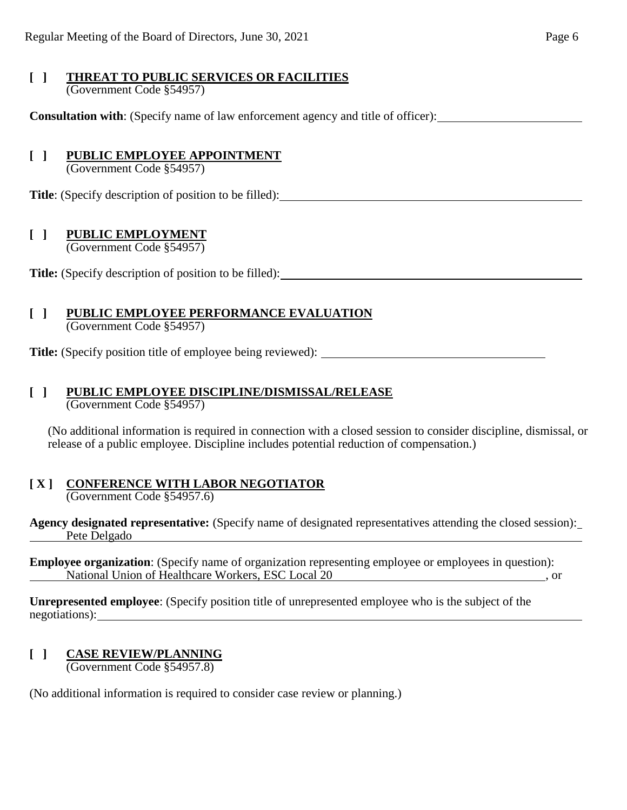#### **[ ] THREAT TO PUBLIC SERVICES OR FACILITIES** (Government Code §54957)

**Consultation with**: (Specify name of law enforcement agency and title of officer):

## **[ ] PUBLIC EMPLOYEE APPOINTMENT**

(Government Code §54957)

**Title**: (Specify description of position to be filled):

## **[ ] PUBLIC EMPLOYMENT**

(Government Code §54957)

**Title:** (Specify description of position to be filled):

#### **[ ] PUBLIC EMPLOYEE PERFORMANCE EVALUATION** (Government Code §54957)

**Title:** (Specify position title of employee being reviewed):

# **[ ] PUBLIC EMPLOYEE DISCIPLINE/DISMISSAL/RELEASE**

(Government Code §54957)

(No additional information is required in connection with a closed session to consider discipline, dismissal, or release of a public employee. Discipline includes potential reduction of compensation.)

#### **[ X ] CONFERENCE WITH LABOR NEGOTIATOR** (Government Code §54957.6)

**Agency designated representative:** (Specify name of designated representatives attending the closed session): Pete Delgado

**Employee organization**: (Specify name of organization representing employee or employees in question): National Union of Healthcare Workers, ESC Local 20 , or

**Unrepresented employee**: (Specify position title of unrepresented employee who is the subject of the negotiations):

# **[ ] CASE REVIEW/PLANNING**

(Government Code §54957.8)

(No additional information is required to consider case review or planning.)